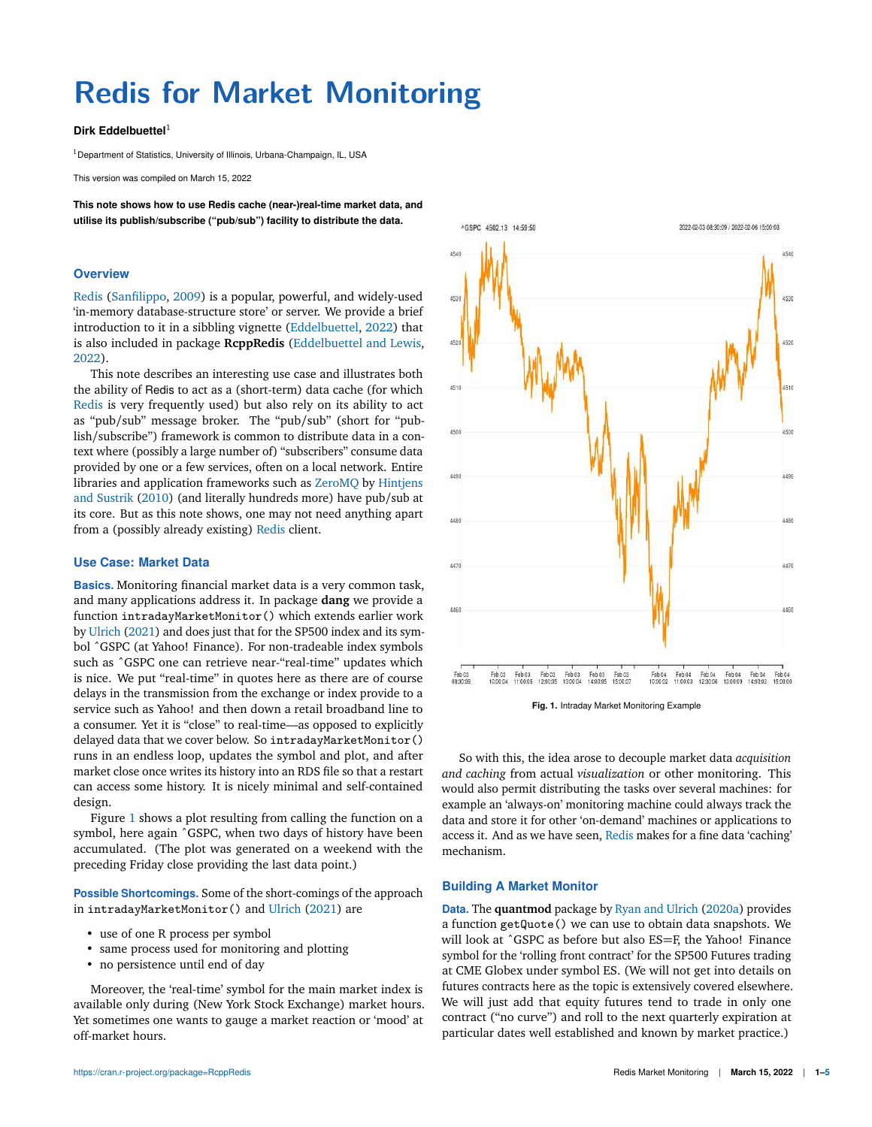# **Redis for Market Monitoring**

## **Dirk Eddelbuettel** 1

 $1$  Department of Statistics, University of Illinois, Urbana-Champaign, IL, USA

This version was compiled on March 15, 2022

**This note shows how to use Redis cache (near-)real-time market data, and utilise its publish/subscribe ("pub/sub") facility to distribute the data.**

## **Overview**

Redis (Sanfilippo, 2009) is a popular, powerful, and widely-used 'in-memory database-structure store' or server. We provide a brief introduction to it in a sibbling vignette (Eddelbuettel, 2022) that is also included in package **RcppRedis** (Eddelbuettel and Lewis, 2022).

This note describes an interesting use case and illustrates both the ability of Redis to act as a (short-term) data cache (for which Redis is very frequently used) but also rely on its ability to act as "pub/sub" message broker. The "pub/sub" (short for "publish/subscribe") framework is common to distribute data in a context where (possibly a large number of) "subscribers" consume data provided by one or a few services, often on a local network. Entire libraries and application frameworks such as ZeroMQ by Hintjens and Sustrik (2010) (and literally hundreds more) have pub/sub at its core. But as this note shows, one may not need anything apart from a (possibly already existing) Redis client.

# **Use Case: Market Data**

**Basics.** Monitoring financial market data is a very common task, and many applications address it. In package **dang** we provide a function intradayMarketMonitor() which extends earlier work by Ulrich (2021) and does just that for the SP500 index and its symbol ˆGSPC (at Yahoo! Finance). For non-tradeable index symbols such as ^GSPC one can retrieve near-"real-time" updates which is nice. We put "real-time" in quotes here as there are of course delays in the transmission from the exchange or index provide to a service such as Yahoo! and then down a retail broadband line to a consumer. Yet it is "close" to real-time—as opposed to explicitly delayed data that we cover below. So intradayMarketMonitor() runs in an endless loop, updates the symbol and plot, and after market close once writes its history into an RDS file so that a restart can access some history. It is nicely minimal and self-contained design.

Figure 1 shows a plot resulting from calling the function on a symbol, here again ˆGSPC, when two days of history have been accumulated. (The plot was generated on a weekend with the preceding Friday close providing the last data point.)

**Possible Shortcomings.** Some of the short-comings of the approach in intradayMarketMonitor() and Ulrich (2021) are

- use of one R process per symbol
- same process used for monitoring and plotting
- no persistence until end of day

Moreover, the 'real-time' symbol for the main market index is available only during (New York Stock Exchange) market hours. Yet sometimes one wants to gauge a market reaction or 'mood' at off-market hours.



So with this, the idea arose to decouple market data *acquisition*

*and caching* from actual *visualization* or other monitoring. This would also permit distributing the tasks over several machines: for example an 'always-on' monitoring machine could always track the data and store it for other 'on-demand' machines or applications to access it. And as we have seen, Redis makes for a fine data 'caching' mechanism.

#### **Building A Market Monitor**

**Data.** The **quantmod** package by Ryan and Ulrich (2020a) provides a function getQuote() we can use to obtain data snapshots. We will look at ^GSPC as before but also ES=F, the Yahoo! Finance symbol for the 'rolling front contract' for the SP500 Futures trading at CME Globex under symbol ES. (We will not get into details on futures contracts here as the topic is extensively covered elsewhere. We will just add that equity futures tend to trade in only one contract ("no curve") and roll to the next quarterly expiration at particular dates well established and known by market practice.)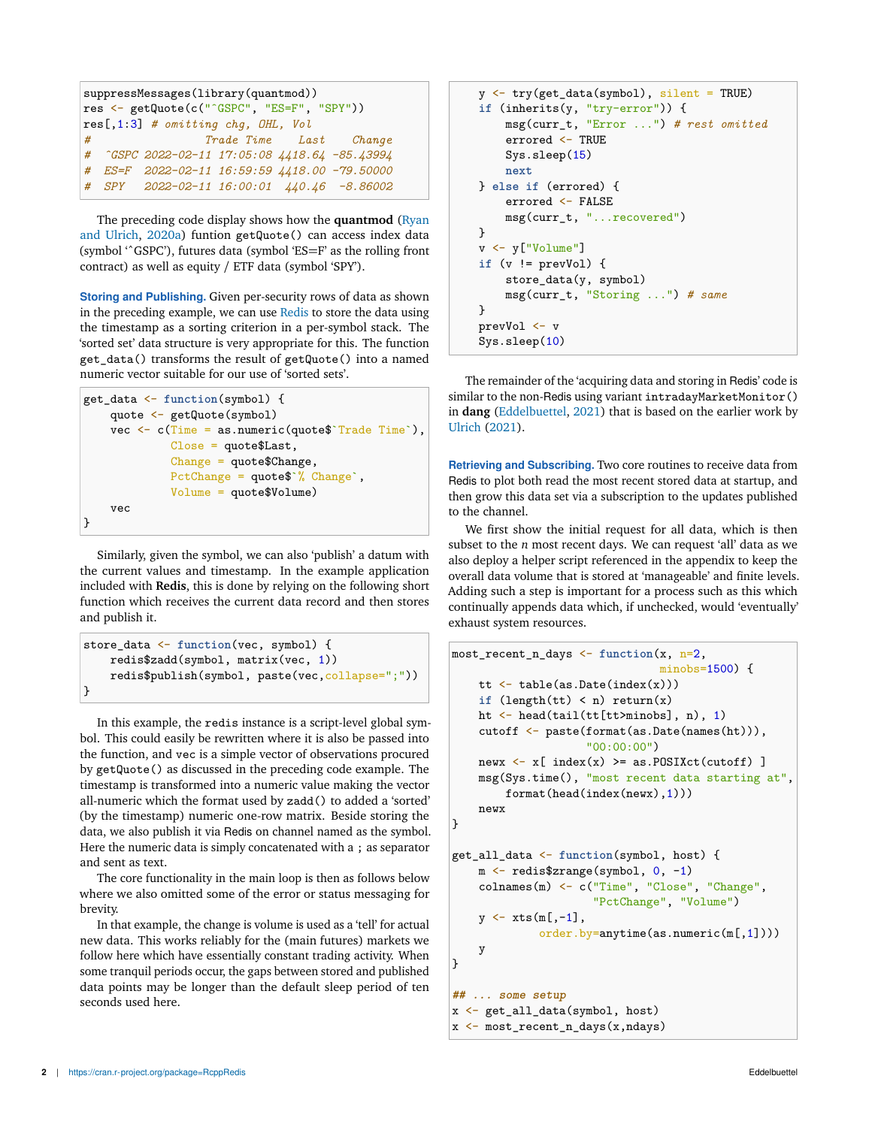| suppressMessages(library(quantmod))        |  |                                               |  |
|--------------------------------------------|--|-----------------------------------------------|--|
| res <- getQuote(c("^GSPC", "ES=F", "SPY")) |  |                                               |  |
| $res[, 1:3]$ # omitting chq, OHL, Vol      |  |                                               |  |
| #                                          |  | Trade Time Last Change                        |  |
|                                            |  | # ^GSPC 2022-02-11 17:05:08 4418.64 -85.43994 |  |
|                                            |  | # ES=F 2022-02-11 16:59:59 4418.00 -79.50000  |  |
|                                            |  | # SPY 2022-02-11 16:00:01 440.46 -8.86002     |  |

The preceding code display shows how the **quantmod** (Ryan and Ulrich, 2020a) funtion getQuote() can access index data (symbol 'ˆGSPC'), futures data (symbol 'ES=F' as the rolling front contract) as well as equity / ETF data (symbol 'SPY').

**Storing and Publishing.** Given per-security rows of data as shown in the preceding example, we can use Redis to store the data using the timestamp as a sorting criterion in a per-symbol stack. The 'sorted set' data structure is very appropriate for this. The function get\_data() transforms the result of getQuote() into a named numeric vector suitable for our use of 'sorted sets'.

```
get_data <- function(symbol) {
    quote <- getQuote(symbol)
    vec \leq c(Time = as.numeric(quote$`Trade Time`),
             Close = quote$Last,
             Change = quote$Change,
             PctChange = quote$`% Change`,
             Volume = quote$Volume)
    vec
}
```
Similarly, given the symbol, we can also 'publish' a datum with the current values and timestamp. In the example application included with **Redis**, this is done by relying on the following short function which receives the current data record and then stores and publish it.

```
store_data <- function(vec, symbol) {
    redis$zadd(symbol, matrix(vec, 1))
    redis$publish(symbol, paste(vec, collapse=";"))
}
```
In this example, the redis instance is a script-level global symbol. This could easily be rewritten where it is also be passed into the function, and vec is a simple vector of observations procured by getQuote() as discussed in the preceding code example. The timestamp is transformed into a numeric value making the vector all-numeric which the format used by zadd() to added a 'sorted' (by the timestamp) numeric one-row matrix. Beside storing the data, we also publish it via Redis on channel named as the symbol. Here the numeric data is simply concatenated with a ; as separator and sent as text.

The core functionality in the main loop is then as follows below where we also omitted some of the error or status messaging for brevity.

In that example, the change is volume is used as a 'tell' for actual new data. This works reliably for the (main futures) markets we follow here which have essentially constant trading activity. When some tranquil periods occur, the gaps between stored and published data points may be longer than the default sleep period of ten seconds used here.

```
y <- try(get_data(symbol), silent = TRUE)
if (inherits(y, "try-error")) {
    msg(curr_t, "Error ...") # rest omitted
    errored <- TRUE
    Sys.sleep(15)
    next
} else if (errored) {
    errored <- FALSE
    msg(curr_t, "...recovered")
}
v <- y["Volume"]
if (v != prevVol) {
    store_data(y, symbol)
    msg(curr_t, "Storing ...") # same
}
prevVol <- v
Sys.sleep(10)
```
The remainder of the 'acquiring data and storing in Redis' code is similar to the non-Redis using variant intradayMarketMonitor() in **dang** (Eddelbuettel, 2021) that is based on the earlier work by Ulrich (2021).

**Retrieving and Subscribing.** Two core routines to receive data from Redis to plot both read the most recent stored data at startup, and then grow this data set via a subscription to the updates published to the channel.

We first show the initial request for all data, which is then subset to the *n* most recent days. We can request 'all' data as we also deploy a helper script referenced in the appendix to keep the overall data volume that is stored at 'manageable' and finite levels. Adding such a step is important for a process such as this which continually appends data which, if unchecked, would 'eventually' exhaust system resources.

```
most_recent_n_days <- function(x, n=2,
                                 minobs=1500) {
    tt \leftarrow table(as.Date(index(x)))
    if (length(tt) < n) return(x)ht <- head(tail(tt[tt>minobs], n), 1)
    cutoff <- paste(format(as.Date(names(ht))),
                     "00:00:00")
    newx \leftarrow x[ index(x) >= as.POSIXct(cutoff) ]
    msg(Sys.time(), "most recent data starting at",
        format(head(index(newx),1)))
    newx
}
get_all_data <- function(symbol, host) {
    m <- redis$zrange(symbol, 0, -1)
    colnames(m) <- c("Time", "Close", "Change",
                      "PctChange", "Volume")
    y \leftarrow xts(m[, -1],order.by=anytime(as.numeric(m[,1])))
    y
}
## ... some setup
x <- get_all_data(symbol, host)
x <- most_recent_n_days(x,ndays)
```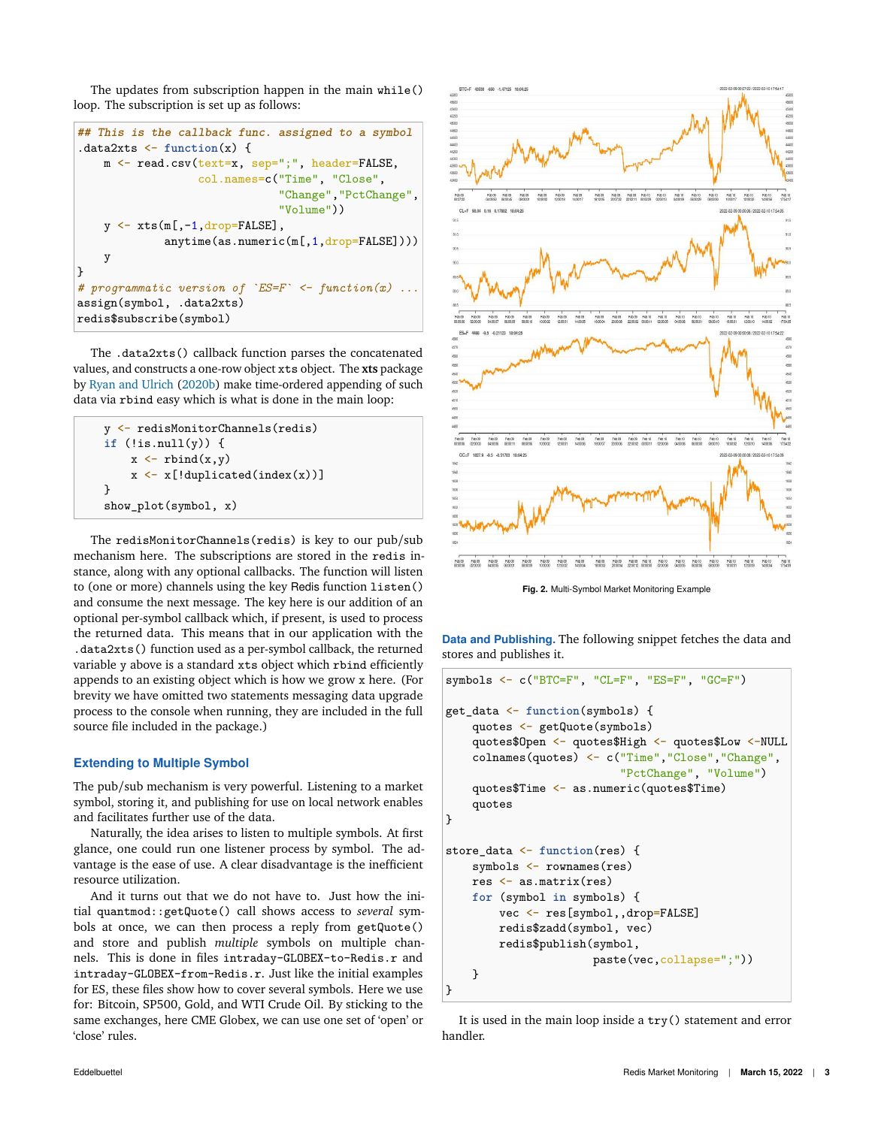The updates from subscription happen in the main while() loop. The subscription is set up as follows:

```
## This is the callback func. assigned to a symbol
.data2xts <- function(x) {
    m <- read.csv(text=x, sep=";", header=FALSE,
                   col.names=c("Time", "Close",
                               "Change","PctChange",
                               "Volume"))
    y \leftarrow xts(m[, -1, drop=FALSE],anytime(as.numeric(m[,1,drop=FALSE])))
    y
}
# programmatic version of `ES=F` <- function(x) ...
assign(symbol, .data2xts)
redis$subscribe(symbol)
```
The .data2xts() callback function parses the concatenated values, and constructs a one-row object xts object. The **xts** package by Ryan and Ulrich (2020b) make time-ordered appending of such data via rbind easy which is what is done in the main loop:

```
y <- redisMonitorChannels(redis)
if (!is.null(y)) {
    x \leftarrow rbind(x,y)x \leftarrow x[!duplicated(index(x))]
}
show_plot(symbol, x)
```
The redisMonitorChannels(redis) is key to our pub/sub mechanism here. The subscriptions are stored in the redis instance, along with any optional callbacks. The function will listen to (one or more) channels using the key Redis function listen() and consume the next message. The key here is our addition of an optional per-symbol callback which, if present, is used to process the returned data. This means that in our application with the .data2xts() function used as a per-symbol callback, the returned variable y above is a standard xts object which rbind efficiently appends to an existing object which is how we grow x here. (For brevity we have omitted two statements messaging data upgrade process to the console when running, they are included in the full source file included in the package.)

## **Extending to Multiple Symbol**

The pub/sub mechanism is very powerful. Listening to a market symbol, storing it, and publishing for use on local network enables and facilitates further use of the data.

Naturally, the idea arises to listen to multiple symbols. At first glance, one could run one listener process by symbol. The advantage is the ease of use. A clear disadvantage is the inefficient resource utilization.

And it turns out that we do not have to. Just how the initial quantmod::getQuote() call shows access to *several* symbols at once, we can then process a reply from getQuote() and store and publish *multiple* symbols on multiple channels. This is done in files intraday-GLOBEX-to-Redis.r and intraday-GLOBEX-from-Redis.r. Just like the initial examples for ES, these files show how to cover several symbols. Here we use for: Bitcoin, SP500, Gold, and WTI Crude Oil. By sticking to the same exchanges, here CME Globex, we can use one set of 'open' or 'close' rules.



**Fig. 2.** Multi-Symbol Market Monitoring Example

**Data and Publishing.** The following snippet fetches the data and stores and publishes it.

```
symbols <- c("BTC=F", "CL=F", "ES=F", "GC=F")
get_data <- function(symbols) {
    quotes <- getQuote(symbols)
    quotes$Open <- quotes$High <- quotes$Low <-NULL
    colnames(quotes) <- c("Time","Close","Change",
                          "PctChange", "Volume")
    quotes$Time <- as.numeric(quotes$Time)
    quotes
}
store_data <- function(res) {
    symbols <- rownames(res)
    res <- as.matrix(res)
    for (symbol in symbols) {
        vec <- res[symbol,,drop=FALSE]
        redis$zadd(symbol, vec)
        redis$publish(symbol,
                      paste(vec,collapse=";"))
   }
}
```
It is used in the main loop inside a try() statement and error handler.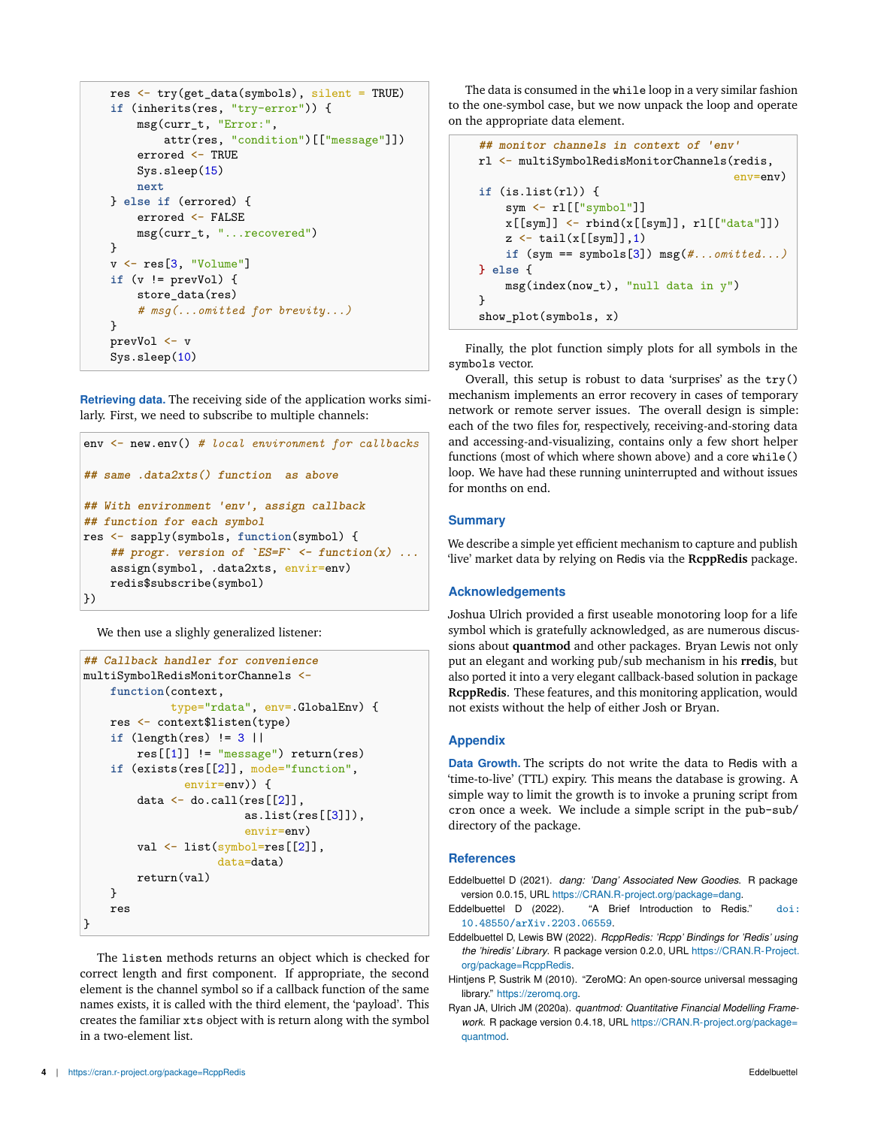```
res <- try(get_data(symbols), silent = TRUE)
if (inherits(res, "try-error")) {
    msg(curr_t, "Error:",
        attr(res, "condition")[["message"]])
    errored <- TRUE
    Sys.sleep(15)
    next
} else if (errored) {
    errored <- FALSE
    msg(curr_t, "...recovered")
}
v <- res[3, "Volume"]
if (v != prevVol) {
    store_data(res)
    # msg(...omitted for brevity...)
}
prevVol <- v
Sys.sleep(10)
```
**Retrieving data.** The receiving side of the application works similarly. First, we need to subscribe to multiple channels:

```
env <- new.env() # local environment for callbacks
## same .data2xts() function as above
## With environment 'env', assign callback
## function for each symbol
res <- sapply(symbols, function(symbol) {
    ## progr. version of `ES=F` <- function(x) ...
    assign(symbol, .data2xts, envir=env)
    redis$subscribe(symbol)
})
```
We then use a slighly generalized listener:

```
## Callback handler for convenience
multiSymbolRedisMonitorChannels <-
    function(context,
             type="rdata", env=.GlobalEnv) {
    res <- context$listen(type)
    if (length(res) != 3 ||
        res[[1]] != "message") return(res)
    if (exists(res[[2]], mode="function",
               envir=env)) {
        data \leftarrow do.call(res[[2]],
                         as.list(res[[3]]),
                         envir=env)
        val <- list(symbol=res[[2]],
                     data=data)
        return(val)
    }
    res
}
```
The listen methods returns an object which is checked for correct length and first component. If appropriate, the second element is the channel symbol so if a callback function of the same names exists, it is called with the third element, the 'payload'. This creates the familiar xts object with is return along with the symbol in a two-element list.

The data is consumed in the while loop in a very similar fashion to the one-symbol case, but we now unpack the loop and operate on the appropriate data element.

```
## monitor channels in context of 'env'
rl <- multiSymbolRedisMonitorChannels(redis,
                                          env=env)
if (is.list(rl)) {
    sym <- rl[["symbol"]]
    x[[sym]] \leftarrow \text{rbind}(x[[sym]], r1[["data"]])z \leftarrow \text{tail}(x[[sym]], 1)if (sym == symbols[3]) msg(#...omitted...)
} else {
    msg(index(now_t), "null data in y")
}
show_plot(symbols, x)
```
Finally, the plot function simply plots for all symbols in the symbols vector.

Overall, this setup is robust to data 'surprises' as the try() mechanism implements an error recovery in cases of temporary network or remote server issues. The overall design is simple: each of the two files for, respectively, receiving-and-storing data and accessing-and-visualizing, contains only a few short helper functions (most of which where shown above) and a core while() loop. We have had these running uninterrupted and without issues for months on end.

## **Summary**

We describe a simple yet efficient mechanism to capture and publish 'live' market data by relying on Redis via the **RcppRedis** package.

## **Acknowledgements**

Joshua Ulrich provided a first useable monotoring loop for a life symbol which is gratefully acknowledged, as are numerous discussions about **quantmod** and other packages. Bryan Lewis not only put an elegant and working pub/sub mechanism in his **rredis**, but also ported it into a very elegant callback-based solution in package **RcppRedis**. These features, and this monitoring application, would not exists without the help of either Josh or Bryan.

## **Appendix**

**Data Growth.** The scripts do not write the data to Redis with a 'time-to-live' (TTL) expiry. This means the database is growing. A simple way to limit the growth is to invoke a pruning script from cron once a week. We include a simple script in the pub-sub/ directory of the package.

#### **References**

- Eddelbuettel D (2021). *dang: 'Dang' Associated New Goodies*. R package version 0.0.15, URL https://CRAN.R-project.org/package=dang.
- Eddelbuettel D (2022). "A Brief Introduction to Redis." doi: 10.48550/arXiv.2203.06559.
- Eddelbuettel D, Lewis BW (2022). *RcppRedis: 'Rcpp' Bindings for 'Redis' using the 'hiredis' Library*. R package version 0.2.0, URL https://CRAN.R-Project. org/package=RcppRedis.
- Hintjens P, Sustrik M (2010). "ZeroMQ: An open-source universal messaging library." https://zeromq.org.
- Ryan JA, Ulrich JM (2020a). *quantmod: Quantitative Financial Modelling Framework*. R package version 0.4.18, URL https://CRAN.R-project.org/package= quantmod.